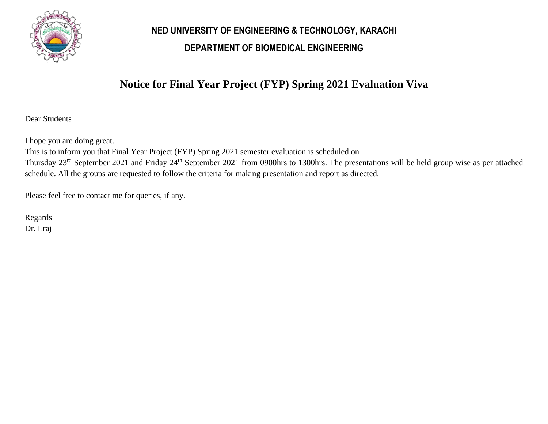

## **NED UNIVERSITY OF ENGINEERING & TECHNOLOGY, KARACHI DEPARTMENT OF BIOMEDICAL ENGINEERING**

## **Notice for Final Year Project (FYP) Spring 2021 Evaluation Viva**

Dear Students

I hope you are doing great.

This is to inform you that Final Year Project (FYP) Spring 2021 semester evaluation is scheduled on Thursday 23rd September 2021 and Friday 24th September 2021 from 0900hrs to 1300hrs. The presentations will be held group wise as per attached schedule. All the groups are requested to follow the criteria for making presentation and report as directed.

Please feel free to contact me for queries, if any.

Regards Dr. Eraj